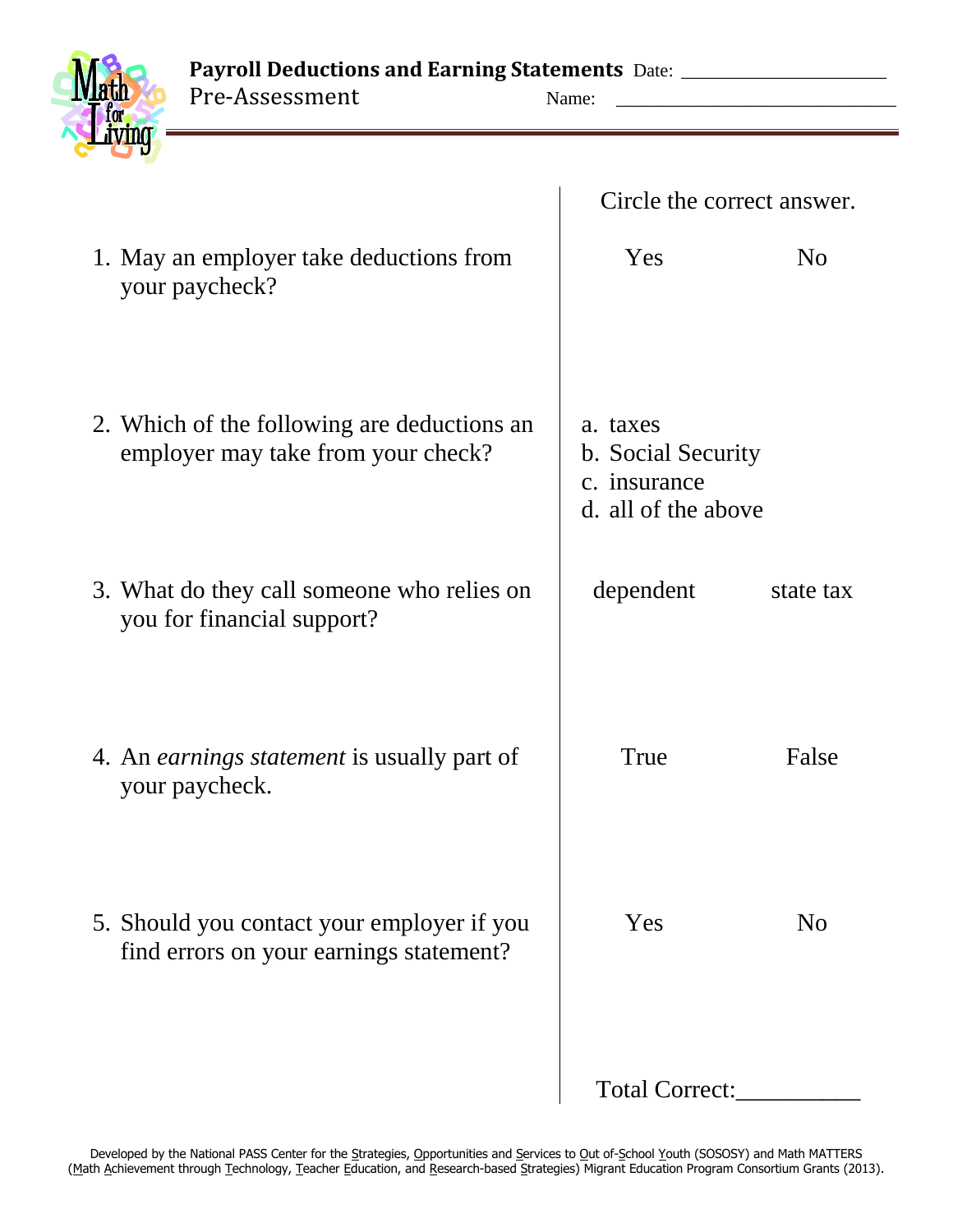Payroll Deductions and Earning Statements Date: \_\_\_\_\_\_\_\_\_\_\_\_\_\_\_\_\_\_\_\_\_\_\_\_\_\_\_\_\_\_\_\_ Pre-Assessment



| Name:                      |  |  |
|----------------------------|--|--|
| Circle the correct answer. |  |  |

| 1. May an employer take deductions from<br>your paycheck?                             | Yes                                                                   | N <sub>o</sub> |
|---------------------------------------------------------------------------------------|-----------------------------------------------------------------------|----------------|
| 2. Which of the following are deductions an<br>employer may take from your check?     | a. taxes<br>b. Social Security<br>c. insurance<br>d. all of the above |                |
| 3. What do they call someone who relies on<br>you for financial support?              | dependent                                                             | state tax      |
| 4. An <i>earnings statement</i> is usually part of<br>your paycheck.                  | True                                                                  | False          |
| 5. Should you contact your employer if you<br>find errors on your earnings statement? | Yes                                                                   | No             |
|                                                                                       | <b>Total Correct:</b>                                                 |                |